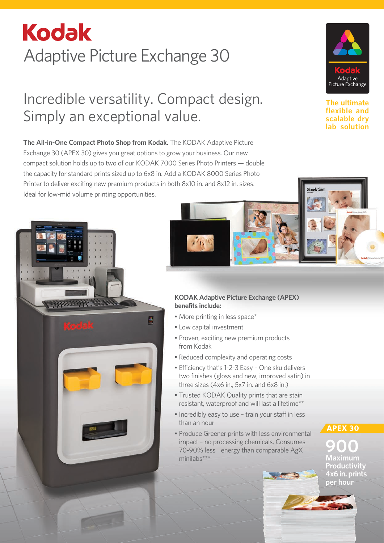# **Kodak** Adaptive Picture Exchange 30

## Incredible versatility. Compact design. Simply an exceptional value.

**The All-in-One Compact Photo Shop from Kodak.** The KODAK Adaptive Picture Exchange 30 (APEX 30) gives you great options to grow your business. Our new compact solution holds up to two of our KODAK 7000 Series Photo Printers — double the capacity for standard prints sized up to 6x8 in. Add a KODAK 8000 Series Photo Printer to deliver exciting new premium products in both 8x10 in. and 8x12 in. sizes. Ideal for low-mid volume printing opportunities.



**The ultimate flexible and scalable dry lab solution**



#### **KODAK Adaptive Picture Exchange (APEX) benefits include:**

- More printing in less space\*
- Low capital investment
- Proven, exciting new premium products from Kodak
- Reduced complexity and operating costs
- Efficiency that's 1-2-3 Easy One sku delivers two finishes (gloss and new, improved satin) in three sizes (4x6 in., 5x7 in. and 6x8 in.)
- Trusted KODAK Quality prints that are stain resistant, waterproof and will last a lifetime\*\*
- Incredibly easy to use train your staff in less than an hour
- Produce Greener prints with less environmental impact – no processing chemicals, Consumes 70-90% less energy than comparable AgX minilabs\*\*\*

**APEX 30**

**900 Maximum**

**Productivity 4x6 in. prints per hour**